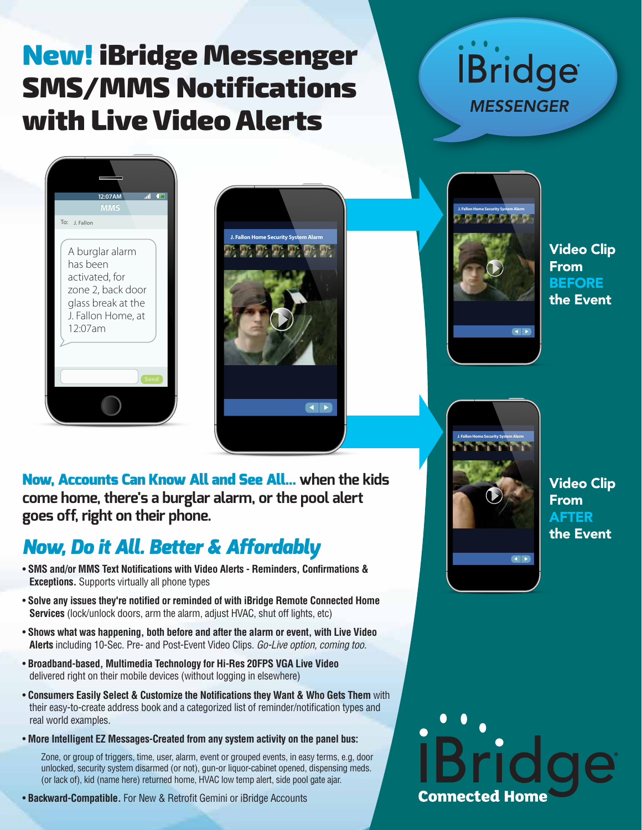## New! iBridge Messenger SMS/MMS Notifications with Live Video Alerts





Now, Accounts Can Know All and See All... **when the kids come home, there's a burglar alarm, or the pool alert goes off, right on their phone.**

### *Now, Do it All. Better & Affordably*

- **SMS and/or MMS Text Notifications with Video Alerts Reminders, Confirmations & Exceptions.** Supports virtually all phone types
- **Solve any issues they're notified or reminded of with iBridge Remote Connected Home Services** (lock/unlock doors, arm the alarm, adjust HVAC, shut off lights, etc)
- **Shows what was happening, both before and after the alarm or event, with Live Video Alerts** including 10-Sec. Pre- and Post-Event Video Clips. *Go-Live option, coming too.*
- **Broadband-based, Multimedia Technology for Hi-Res 20FPS VGA Live Video** delivered right on their mobile devices (without logging in elsewhere)
- **Consumers Easily Select & Customize the Notifications they Want & Who Gets Them** with their easy-to-create address book and a categorized list of reminder/notification types and real world examples.
- **More Intelligent EZ Messages-Created from any system activity on the panel bus:**

Zone, or group of triggers, time, user, alarm, event or grouped events, in easy terms, e.g, door unlocked, security system disarmed (or not), gun-or liquor-cabinet opened, dispensing meds. (or lack of), kid (name here) returned home, HVAC low temp alert, side pool gate ajar.

• **Backward-Compatible.** For New & Retrofit Gemini or iBridge Accounts



**İBridge** 

**MESSENGER** 





Video Clip From AFTER the Event

# **Connected Hom**